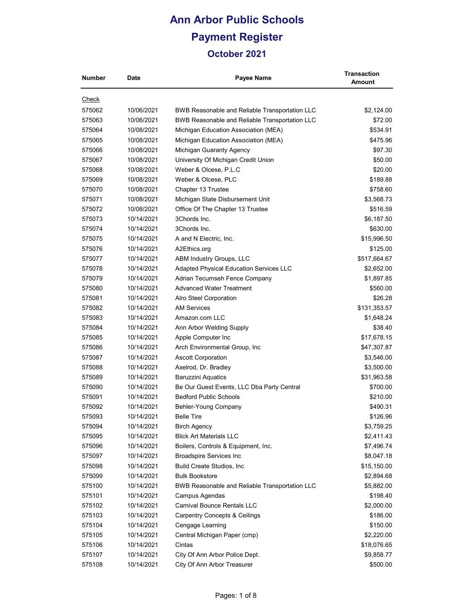### **Ann Arbor Public Schools Payment Register October 2021**

|  | October 2021 |  |
|--|--------------|--|
|  |              |  |
|  |              |  |

| <b>Check</b><br>575062<br>10/06/2021<br>BWB Reasonable and Reliable Transportation LLC<br>\$2,124.00<br>575063<br>10/06/2021<br>\$72.00<br><b>BWB Reasonable and Reliable Transportation LLC</b><br>575064<br>10/08/2021<br>Michigan Education Association (MEA)<br>\$534.91<br>10/08/2021<br>Michigan Education Association (MEA)<br>\$475.96<br>575065<br>575066<br>10/08/2021<br>Michigan Guaranty Agency<br>\$97.30<br>10/08/2021<br>\$50.00<br>575067<br>University Of Michigan Credit Union<br>575068<br>10/08/2021<br>Weber & Olcese, P.L.C<br>\$20.00<br>10/08/2021<br>Weber & Olcese, PLC<br>\$189.88<br>575069<br>10/08/2021<br>Chapter 13 Trustee<br>\$758.60<br>575070<br>10/08/2021<br>\$3,568.73<br>575071<br>Michigan State Disbursement Unit<br>10/08/2021<br>Office Of The Chapter 13 Trustee<br>\$516.59<br>575072<br>10/14/2021<br>3Chords Inc.<br>\$6,187.50<br>575073<br>3Chords Inc.<br>\$630.00<br>575074<br>10/14/2021<br>\$15,996.50<br>10/14/2021<br>A and N Electric, Inc.<br>575075<br>\$125.00<br>575076<br>10/14/2021<br>A2Ethics.org<br>10/14/2021<br>\$517,664.67<br>575077<br>ABM Industry Groups, LLC<br>10/14/2021<br>575078<br>Adapted Physical Education Services LLC<br>\$2,652.00<br>575079<br>10/14/2021<br>Adrian Tecumseh Fence Company<br>\$1,897.85<br><b>Advanced Water Treatment</b><br>\$560.00<br>575080<br>10/14/2021<br>575081<br>10/14/2021<br>\$26.28<br>Alro Steel Corporation<br><b>AM Services</b><br>10/14/2021<br>\$131,353.57<br>575082<br>10/14/2021<br>Amazon.com LLC<br>\$1,648.24<br>575083<br>\$38.40<br>575084<br>10/14/2021<br>Ann Arbor Welding Supply<br>\$17,678.15<br>575085<br>10/14/2021<br>Apple Computer Inc<br>575086<br>10/14/2021<br>Arch Environmental Group, Inc.<br>\$47,307.87<br>575087<br>10/14/2021<br><b>Ascott Corporation</b><br>\$3,546.00<br>Axelrod, Dr. Bradley<br>575088<br>10/14/2021<br>\$3,500.00<br><b>Baruzzini Aquatics</b><br>575089<br>10/14/2021<br>\$31,963.58<br>\$700.00<br>575090<br>10/14/2021<br>Be Our Guest Events, LLC Dba Party Central<br><b>Bedford Public Schools</b><br>\$210.00<br>575091<br>10/14/2021<br>\$490.31<br>10/14/2021<br>Behler-Young Company<br>575092<br><b>Belle Tire</b><br>\$126.96<br>575093<br>10/14/2021<br>\$3,759.25<br>575094<br>10/14/2021<br><b>Birch Agency</b><br><b>Blick Art Materials LLC</b><br>10/14/2021<br>\$2,411.43<br>575095<br>Boilers, Controls & Equipment, Inc.<br>575096<br>10/14/2021<br>\$7,496.74<br><b>Broadspire Services Inc</b><br>575097<br>10/14/2021<br>\$8,047.18<br>10/14/2021<br>Build Create Studios, Inc<br>\$15,150.00<br>575098<br>575099<br>10/14/2021<br><b>Bulk Bookstore</b><br>\$2,894.68<br>10/14/2021<br>BWB Reasonable and Reliable Transportation LLC<br>\$5,882.00<br>575100<br>\$198.40<br>575101<br>10/14/2021<br>Campus Agendas<br>10/14/2021<br><b>Carnival Bounce Rentals LLC</b><br>\$2,000.00<br>575102<br><b>Carpentry Concepts &amp; Ceilings</b><br>\$186.00<br>575103<br>10/14/2021<br>10/14/2021<br>Cengage Learning<br>\$150.00<br>575104<br>575105<br>10/14/2021<br>Central Michigan Paper (cmp)<br>\$2,220.00<br>Cintas<br>575106<br>10/14/2021<br>\$18,076.65<br>City Of Ann Arbor Police Dept.<br>575107<br>10/14/2021<br>\$9,858.77 | Number | <b>Date</b> | Payee Name                  | Transaction<br>Amount |
|-----------------------------------------------------------------------------------------------------------------------------------------------------------------------------------------------------------------------------------------------------------------------------------------------------------------------------------------------------------------------------------------------------------------------------------------------------------------------------------------------------------------------------------------------------------------------------------------------------------------------------------------------------------------------------------------------------------------------------------------------------------------------------------------------------------------------------------------------------------------------------------------------------------------------------------------------------------------------------------------------------------------------------------------------------------------------------------------------------------------------------------------------------------------------------------------------------------------------------------------------------------------------------------------------------------------------------------------------------------------------------------------------------------------------------------------------------------------------------------------------------------------------------------------------------------------------------------------------------------------------------------------------------------------------------------------------------------------------------------------------------------------------------------------------------------------------------------------------------------------------------------------------------------------------------------------------------------------------------------------------------------------------------------------------------------------------------------------------------------------------------------------------------------------------------------------------------------------------------------------------------------------------------------------------------------------------------------------------------------------------------------------------------------------------------------------------------------------------------------------------------------------------------------------------------------------------------------------------------------------------------------------------------------------------------------------------------------------------------------------------------------------------------------------------------------------------------------------------------------------------------------------------------------------------------------------------------------------------------------------------------------------------------------------------------------------------------------------------------------------------------------------------------------------------------------------------------------------------------------------------|--------|-------------|-----------------------------|-----------------------|
|                                                                                                                                                                                                                                                                                                                                                                                                                                                                                                                                                                                                                                                                                                                                                                                                                                                                                                                                                                                                                                                                                                                                                                                                                                                                                                                                                                                                                                                                                                                                                                                                                                                                                                                                                                                                                                                                                                                                                                                                                                                                                                                                                                                                                                                                                                                                                                                                                                                                                                                                                                                                                                                                                                                                                                                                                                                                                                                                                                                                                                                                                                                                                                                                                                               |        |             |                             |                       |
|                                                                                                                                                                                                                                                                                                                                                                                                                                                                                                                                                                                                                                                                                                                                                                                                                                                                                                                                                                                                                                                                                                                                                                                                                                                                                                                                                                                                                                                                                                                                                                                                                                                                                                                                                                                                                                                                                                                                                                                                                                                                                                                                                                                                                                                                                                                                                                                                                                                                                                                                                                                                                                                                                                                                                                                                                                                                                                                                                                                                                                                                                                                                                                                                                                               |        |             |                             |                       |
|                                                                                                                                                                                                                                                                                                                                                                                                                                                                                                                                                                                                                                                                                                                                                                                                                                                                                                                                                                                                                                                                                                                                                                                                                                                                                                                                                                                                                                                                                                                                                                                                                                                                                                                                                                                                                                                                                                                                                                                                                                                                                                                                                                                                                                                                                                                                                                                                                                                                                                                                                                                                                                                                                                                                                                                                                                                                                                                                                                                                                                                                                                                                                                                                                                               |        |             |                             |                       |
|                                                                                                                                                                                                                                                                                                                                                                                                                                                                                                                                                                                                                                                                                                                                                                                                                                                                                                                                                                                                                                                                                                                                                                                                                                                                                                                                                                                                                                                                                                                                                                                                                                                                                                                                                                                                                                                                                                                                                                                                                                                                                                                                                                                                                                                                                                                                                                                                                                                                                                                                                                                                                                                                                                                                                                                                                                                                                                                                                                                                                                                                                                                                                                                                                                               |        |             |                             |                       |
|                                                                                                                                                                                                                                                                                                                                                                                                                                                                                                                                                                                                                                                                                                                                                                                                                                                                                                                                                                                                                                                                                                                                                                                                                                                                                                                                                                                                                                                                                                                                                                                                                                                                                                                                                                                                                                                                                                                                                                                                                                                                                                                                                                                                                                                                                                                                                                                                                                                                                                                                                                                                                                                                                                                                                                                                                                                                                                                                                                                                                                                                                                                                                                                                                                               |        |             |                             |                       |
|                                                                                                                                                                                                                                                                                                                                                                                                                                                                                                                                                                                                                                                                                                                                                                                                                                                                                                                                                                                                                                                                                                                                                                                                                                                                                                                                                                                                                                                                                                                                                                                                                                                                                                                                                                                                                                                                                                                                                                                                                                                                                                                                                                                                                                                                                                                                                                                                                                                                                                                                                                                                                                                                                                                                                                                                                                                                                                                                                                                                                                                                                                                                                                                                                                               |        |             |                             |                       |
|                                                                                                                                                                                                                                                                                                                                                                                                                                                                                                                                                                                                                                                                                                                                                                                                                                                                                                                                                                                                                                                                                                                                                                                                                                                                                                                                                                                                                                                                                                                                                                                                                                                                                                                                                                                                                                                                                                                                                                                                                                                                                                                                                                                                                                                                                                                                                                                                                                                                                                                                                                                                                                                                                                                                                                                                                                                                                                                                                                                                                                                                                                                                                                                                                                               |        |             |                             |                       |
|                                                                                                                                                                                                                                                                                                                                                                                                                                                                                                                                                                                                                                                                                                                                                                                                                                                                                                                                                                                                                                                                                                                                                                                                                                                                                                                                                                                                                                                                                                                                                                                                                                                                                                                                                                                                                                                                                                                                                                                                                                                                                                                                                                                                                                                                                                                                                                                                                                                                                                                                                                                                                                                                                                                                                                                                                                                                                                                                                                                                                                                                                                                                                                                                                                               |        |             |                             |                       |
|                                                                                                                                                                                                                                                                                                                                                                                                                                                                                                                                                                                                                                                                                                                                                                                                                                                                                                                                                                                                                                                                                                                                                                                                                                                                                                                                                                                                                                                                                                                                                                                                                                                                                                                                                                                                                                                                                                                                                                                                                                                                                                                                                                                                                                                                                                                                                                                                                                                                                                                                                                                                                                                                                                                                                                                                                                                                                                                                                                                                                                                                                                                                                                                                                                               |        |             |                             |                       |
|                                                                                                                                                                                                                                                                                                                                                                                                                                                                                                                                                                                                                                                                                                                                                                                                                                                                                                                                                                                                                                                                                                                                                                                                                                                                                                                                                                                                                                                                                                                                                                                                                                                                                                                                                                                                                                                                                                                                                                                                                                                                                                                                                                                                                                                                                                                                                                                                                                                                                                                                                                                                                                                                                                                                                                                                                                                                                                                                                                                                                                                                                                                                                                                                                                               |        |             |                             |                       |
|                                                                                                                                                                                                                                                                                                                                                                                                                                                                                                                                                                                                                                                                                                                                                                                                                                                                                                                                                                                                                                                                                                                                                                                                                                                                                                                                                                                                                                                                                                                                                                                                                                                                                                                                                                                                                                                                                                                                                                                                                                                                                                                                                                                                                                                                                                                                                                                                                                                                                                                                                                                                                                                                                                                                                                                                                                                                                                                                                                                                                                                                                                                                                                                                                                               |        |             |                             |                       |
|                                                                                                                                                                                                                                                                                                                                                                                                                                                                                                                                                                                                                                                                                                                                                                                                                                                                                                                                                                                                                                                                                                                                                                                                                                                                                                                                                                                                                                                                                                                                                                                                                                                                                                                                                                                                                                                                                                                                                                                                                                                                                                                                                                                                                                                                                                                                                                                                                                                                                                                                                                                                                                                                                                                                                                                                                                                                                                                                                                                                                                                                                                                                                                                                                                               |        |             |                             |                       |
|                                                                                                                                                                                                                                                                                                                                                                                                                                                                                                                                                                                                                                                                                                                                                                                                                                                                                                                                                                                                                                                                                                                                                                                                                                                                                                                                                                                                                                                                                                                                                                                                                                                                                                                                                                                                                                                                                                                                                                                                                                                                                                                                                                                                                                                                                                                                                                                                                                                                                                                                                                                                                                                                                                                                                                                                                                                                                                                                                                                                                                                                                                                                                                                                                                               |        |             |                             |                       |
|                                                                                                                                                                                                                                                                                                                                                                                                                                                                                                                                                                                                                                                                                                                                                                                                                                                                                                                                                                                                                                                                                                                                                                                                                                                                                                                                                                                                                                                                                                                                                                                                                                                                                                                                                                                                                                                                                                                                                                                                                                                                                                                                                                                                                                                                                                                                                                                                                                                                                                                                                                                                                                                                                                                                                                                                                                                                                                                                                                                                                                                                                                                                                                                                                                               |        |             |                             |                       |
|                                                                                                                                                                                                                                                                                                                                                                                                                                                                                                                                                                                                                                                                                                                                                                                                                                                                                                                                                                                                                                                                                                                                                                                                                                                                                                                                                                                                                                                                                                                                                                                                                                                                                                                                                                                                                                                                                                                                                                                                                                                                                                                                                                                                                                                                                                                                                                                                                                                                                                                                                                                                                                                                                                                                                                                                                                                                                                                                                                                                                                                                                                                                                                                                                                               |        |             |                             |                       |
|                                                                                                                                                                                                                                                                                                                                                                                                                                                                                                                                                                                                                                                                                                                                                                                                                                                                                                                                                                                                                                                                                                                                                                                                                                                                                                                                                                                                                                                                                                                                                                                                                                                                                                                                                                                                                                                                                                                                                                                                                                                                                                                                                                                                                                                                                                                                                                                                                                                                                                                                                                                                                                                                                                                                                                                                                                                                                                                                                                                                                                                                                                                                                                                                                                               |        |             |                             |                       |
|                                                                                                                                                                                                                                                                                                                                                                                                                                                                                                                                                                                                                                                                                                                                                                                                                                                                                                                                                                                                                                                                                                                                                                                                                                                                                                                                                                                                                                                                                                                                                                                                                                                                                                                                                                                                                                                                                                                                                                                                                                                                                                                                                                                                                                                                                                                                                                                                                                                                                                                                                                                                                                                                                                                                                                                                                                                                                                                                                                                                                                                                                                                                                                                                                                               |        |             |                             |                       |
|                                                                                                                                                                                                                                                                                                                                                                                                                                                                                                                                                                                                                                                                                                                                                                                                                                                                                                                                                                                                                                                                                                                                                                                                                                                                                                                                                                                                                                                                                                                                                                                                                                                                                                                                                                                                                                                                                                                                                                                                                                                                                                                                                                                                                                                                                                                                                                                                                                                                                                                                                                                                                                                                                                                                                                                                                                                                                                                                                                                                                                                                                                                                                                                                                                               |        |             |                             |                       |
|                                                                                                                                                                                                                                                                                                                                                                                                                                                                                                                                                                                                                                                                                                                                                                                                                                                                                                                                                                                                                                                                                                                                                                                                                                                                                                                                                                                                                                                                                                                                                                                                                                                                                                                                                                                                                                                                                                                                                                                                                                                                                                                                                                                                                                                                                                                                                                                                                                                                                                                                                                                                                                                                                                                                                                                                                                                                                                                                                                                                                                                                                                                                                                                                                                               |        |             |                             |                       |
|                                                                                                                                                                                                                                                                                                                                                                                                                                                                                                                                                                                                                                                                                                                                                                                                                                                                                                                                                                                                                                                                                                                                                                                                                                                                                                                                                                                                                                                                                                                                                                                                                                                                                                                                                                                                                                                                                                                                                                                                                                                                                                                                                                                                                                                                                                                                                                                                                                                                                                                                                                                                                                                                                                                                                                                                                                                                                                                                                                                                                                                                                                                                                                                                                                               |        |             |                             |                       |
|                                                                                                                                                                                                                                                                                                                                                                                                                                                                                                                                                                                                                                                                                                                                                                                                                                                                                                                                                                                                                                                                                                                                                                                                                                                                                                                                                                                                                                                                                                                                                                                                                                                                                                                                                                                                                                                                                                                                                                                                                                                                                                                                                                                                                                                                                                                                                                                                                                                                                                                                                                                                                                                                                                                                                                                                                                                                                                                                                                                                                                                                                                                                                                                                                                               |        |             |                             |                       |
|                                                                                                                                                                                                                                                                                                                                                                                                                                                                                                                                                                                                                                                                                                                                                                                                                                                                                                                                                                                                                                                                                                                                                                                                                                                                                                                                                                                                                                                                                                                                                                                                                                                                                                                                                                                                                                                                                                                                                                                                                                                                                                                                                                                                                                                                                                                                                                                                                                                                                                                                                                                                                                                                                                                                                                                                                                                                                                                                                                                                                                                                                                                                                                                                                                               |        |             |                             |                       |
|                                                                                                                                                                                                                                                                                                                                                                                                                                                                                                                                                                                                                                                                                                                                                                                                                                                                                                                                                                                                                                                                                                                                                                                                                                                                                                                                                                                                                                                                                                                                                                                                                                                                                                                                                                                                                                                                                                                                                                                                                                                                                                                                                                                                                                                                                                                                                                                                                                                                                                                                                                                                                                                                                                                                                                                                                                                                                                                                                                                                                                                                                                                                                                                                                                               |        |             |                             |                       |
|                                                                                                                                                                                                                                                                                                                                                                                                                                                                                                                                                                                                                                                                                                                                                                                                                                                                                                                                                                                                                                                                                                                                                                                                                                                                                                                                                                                                                                                                                                                                                                                                                                                                                                                                                                                                                                                                                                                                                                                                                                                                                                                                                                                                                                                                                                                                                                                                                                                                                                                                                                                                                                                                                                                                                                                                                                                                                                                                                                                                                                                                                                                                                                                                                                               |        |             |                             |                       |
|                                                                                                                                                                                                                                                                                                                                                                                                                                                                                                                                                                                                                                                                                                                                                                                                                                                                                                                                                                                                                                                                                                                                                                                                                                                                                                                                                                                                                                                                                                                                                                                                                                                                                                                                                                                                                                                                                                                                                                                                                                                                                                                                                                                                                                                                                                                                                                                                                                                                                                                                                                                                                                                                                                                                                                                                                                                                                                                                                                                                                                                                                                                                                                                                                                               |        |             |                             |                       |
|                                                                                                                                                                                                                                                                                                                                                                                                                                                                                                                                                                                                                                                                                                                                                                                                                                                                                                                                                                                                                                                                                                                                                                                                                                                                                                                                                                                                                                                                                                                                                                                                                                                                                                                                                                                                                                                                                                                                                                                                                                                                                                                                                                                                                                                                                                                                                                                                                                                                                                                                                                                                                                                                                                                                                                                                                                                                                                                                                                                                                                                                                                                                                                                                                                               |        |             |                             |                       |
|                                                                                                                                                                                                                                                                                                                                                                                                                                                                                                                                                                                                                                                                                                                                                                                                                                                                                                                                                                                                                                                                                                                                                                                                                                                                                                                                                                                                                                                                                                                                                                                                                                                                                                                                                                                                                                                                                                                                                                                                                                                                                                                                                                                                                                                                                                                                                                                                                                                                                                                                                                                                                                                                                                                                                                                                                                                                                                                                                                                                                                                                                                                                                                                                                                               |        |             |                             |                       |
|                                                                                                                                                                                                                                                                                                                                                                                                                                                                                                                                                                                                                                                                                                                                                                                                                                                                                                                                                                                                                                                                                                                                                                                                                                                                                                                                                                                                                                                                                                                                                                                                                                                                                                                                                                                                                                                                                                                                                                                                                                                                                                                                                                                                                                                                                                                                                                                                                                                                                                                                                                                                                                                                                                                                                                                                                                                                                                                                                                                                                                                                                                                                                                                                                                               |        |             |                             |                       |
|                                                                                                                                                                                                                                                                                                                                                                                                                                                                                                                                                                                                                                                                                                                                                                                                                                                                                                                                                                                                                                                                                                                                                                                                                                                                                                                                                                                                                                                                                                                                                                                                                                                                                                                                                                                                                                                                                                                                                                                                                                                                                                                                                                                                                                                                                                                                                                                                                                                                                                                                                                                                                                                                                                                                                                                                                                                                                                                                                                                                                                                                                                                                                                                                                                               |        |             |                             |                       |
|                                                                                                                                                                                                                                                                                                                                                                                                                                                                                                                                                                                                                                                                                                                                                                                                                                                                                                                                                                                                                                                                                                                                                                                                                                                                                                                                                                                                                                                                                                                                                                                                                                                                                                                                                                                                                                                                                                                                                                                                                                                                                                                                                                                                                                                                                                                                                                                                                                                                                                                                                                                                                                                                                                                                                                                                                                                                                                                                                                                                                                                                                                                                                                                                                                               |        |             |                             |                       |
|                                                                                                                                                                                                                                                                                                                                                                                                                                                                                                                                                                                                                                                                                                                                                                                                                                                                                                                                                                                                                                                                                                                                                                                                                                                                                                                                                                                                                                                                                                                                                                                                                                                                                                                                                                                                                                                                                                                                                                                                                                                                                                                                                                                                                                                                                                                                                                                                                                                                                                                                                                                                                                                                                                                                                                                                                                                                                                                                                                                                                                                                                                                                                                                                                                               |        |             |                             |                       |
|                                                                                                                                                                                                                                                                                                                                                                                                                                                                                                                                                                                                                                                                                                                                                                                                                                                                                                                                                                                                                                                                                                                                                                                                                                                                                                                                                                                                                                                                                                                                                                                                                                                                                                                                                                                                                                                                                                                                                                                                                                                                                                                                                                                                                                                                                                                                                                                                                                                                                                                                                                                                                                                                                                                                                                                                                                                                                                                                                                                                                                                                                                                                                                                                                                               |        |             |                             |                       |
|                                                                                                                                                                                                                                                                                                                                                                                                                                                                                                                                                                                                                                                                                                                                                                                                                                                                                                                                                                                                                                                                                                                                                                                                                                                                                                                                                                                                                                                                                                                                                                                                                                                                                                                                                                                                                                                                                                                                                                                                                                                                                                                                                                                                                                                                                                                                                                                                                                                                                                                                                                                                                                                                                                                                                                                                                                                                                                                                                                                                                                                                                                                                                                                                                                               |        |             |                             |                       |
|                                                                                                                                                                                                                                                                                                                                                                                                                                                                                                                                                                                                                                                                                                                                                                                                                                                                                                                                                                                                                                                                                                                                                                                                                                                                                                                                                                                                                                                                                                                                                                                                                                                                                                                                                                                                                                                                                                                                                                                                                                                                                                                                                                                                                                                                                                                                                                                                                                                                                                                                                                                                                                                                                                                                                                                                                                                                                                                                                                                                                                                                                                                                                                                                                                               |        |             |                             |                       |
|                                                                                                                                                                                                                                                                                                                                                                                                                                                                                                                                                                                                                                                                                                                                                                                                                                                                                                                                                                                                                                                                                                                                                                                                                                                                                                                                                                                                                                                                                                                                                                                                                                                                                                                                                                                                                                                                                                                                                                                                                                                                                                                                                                                                                                                                                                                                                                                                                                                                                                                                                                                                                                                                                                                                                                                                                                                                                                                                                                                                                                                                                                                                                                                                                                               |        |             |                             |                       |
|                                                                                                                                                                                                                                                                                                                                                                                                                                                                                                                                                                                                                                                                                                                                                                                                                                                                                                                                                                                                                                                                                                                                                                                                                                                                                                                                                                                                                                                                                                                                                                                                                                                                                                                                                                                                                                                                                                                                                                                                                                                                                                                                                                                                                                                                                                                                                                                                                                                                                                                                                                                                                                                                                                                                                                                                                                                                                                                                                                                                                                                                                                                                                                                                                                               |        |             |                             |                       |
|                                                                                                                                                                                                                                                                                                                                                                                                                                                                                                                                                                                                                                                                                                                                                                                                                                                                                                                                                                                                                                                                                                                                                                                                                                                                                                                                                                                                                                                                                                                                                                                                                                                                                                                                                                                                                                                                                                                                                                                                                                                                                                                                                                                                                                                                                                                                                                                                                                                                                                                                                                                                                                                                                                                                                                                                                                                                                                                                                                                                                                                                                                                                                                                                                                               |        |             |                             |                       |
|                                                                                                                                                                                                                                                                                                                                                                                                                                                                                                                                                                                                                                                                                                                                                                                                                                                                                                                                                                                                                                                                                                                                                                                                                                                                                                                                                                                                                                                                                                                                                                                                                                                                                                                                                                                                                                                                                                                                                                                                                                                                                                                                                                                                                                                                                                                                                                                                                                                                                                                                                                                                                                                                                                                                                                                                                                                                                                                                                                                                                                                                                                                                                                                                                                               |        |             |                             |                       |
|                                                                                                                                                                                                                                                                                                                                                                                                                                                                                                                                                                                                                                                                                                                                                                                                                                                                                                                                                                                                                                                                                                                                                                                                                                                                                                                                                                                                                                                                                                                                                                                                                                                                                                                                                                                                                                                                                                                                                                                                                                                                                                                                                                                                                                                                                                                                                                                                                                                                                                                                                                                                                                                                                                                                                                                                                                                                                                                                                                                                                                                                                                                                                                                                                                               |        |             |                             |                       |
|                                                                                                                                                                                                                                                                                                                                                                                                                                                                                                                                                                                                                                                                                                                                                                                                                                                                                                                                                                                                                                                                                                                                                                                                                                                                                                                                                                                                                                                                                                                                                                                                                                                                                                                                                                                                                                                                                                                                                                                                                                                                                                                                                                                                                                                                                                                                                                                                                                                                                                                                                                                                                                                                                                                                                                                                                                                                                                                                                                                                                                                                                                                                                                                                                                               |        |             |                             |                       |
|                                                                                                                                                                                                                                                                                                                                                                                                                                                                                                                                                                                                                                                                                                                                                                                                                                                                                                                                                                                                                                                                                                                                                                                                                                                                                                                                                                                                                                                                                                                                                                                                                                                                                                                                                                                                                                                                                                                                                                                                                                                                                                                                                                                                                                                                                                                                                                                                                                                                                                                                                                                                                                                                                                                                                                                                                                                                                                                                                                                                                                                                                                                                                                                                                                               |        |             |                             |                       |
|                                                                                                                                                                                                                                                                                                                                                                                                                                                                                                                                                                                                                                                                                                                                                                                                                                                                                                                                                                                                                                                                                                                                                                                                                                                                                                                                                                                                                                                                                                                                                                                                                                                                                                                                                                                                                                                                                                                                                                                                                                                                                                                                                                                                                                                                                                                                                                                                                                                                                                                                                                                                                                                                                                                                                                                                                                                                                                                                                                                                                                                                                                                                                                                                                                               |        |             |                             |                       |
|                                                                                                                                                                                                                                                                                                                                                                                                                                                                                                                                                                                                                                                                                                                                                                                                                                                                                                                                                                                                                                                                                                                                                                                                                                                                                                                                                                                                                                                                                                                                                                                                                                                                                                                                                                                                                                                                                                                                                                                                                                                                                                                                                                                                                                                                                                                                                                                                                                                                                                                                                                                                                                                                                                                                                                                                                                                                                                                                                                                                                                                                                                                                                                                                                                               |        |             |                             |                       |
|                                                                                                                                                                                                                                                                                                                                                                                                                                                                                                                                                                                                                                                                                                                                                                                                                                                                                                                                                                                                                                                                                                                                                                                                                                                                                                                                                                                                                                                                                                                                                                                                                                                                                                                                                                                                                                                                                                                                                                                                                                                                                                                                                                                                                                                                                                                                                                                                                                                                                                                                                                                                                                                                                                                                                                                                                                                                                                                                                                                                                                                                                                                                                                                                                                               |        |             |                             |                       |
|                                                                                                                                                                                                                                                                                                                                                                                                                                                                                                                                                                                                                                                                                                                                                                                                                                                                                                                                                                                                                                                                                                                                                                                                                                                                                                                                                                                                                                                                                                                                                                                                                                                                                                                                                                                                                                                                                                                                                                                                                                                                                                                                                                                                                                                                                                                                                                                                                                                                                                                                                                                                                                                                                                                                                                                                                                                                                                                                                                                                                                                                                                                                                                                                                                               |        |             |                             |                       |
|                                                                                                                                                                                                                                                                                                                                                                                                                                                                                                                                                                                                                                                                                                                                                                                                                                                                                                                                                                                                                                                                                                                                                                                                                                                                                                                                                                                                                                                                                                                                                                                                                                                                                                                                                                                                                                                                                                                                                                                                                                                                                                                                                                                                                                                                                                                                                                                                                                                                                                                                                                                                                                                                                                                                                                                                                                                                                                                                                                                                                                                                                                                                                                                                                                               |        |             |                             |                       |
|                                                                                                                                                                                                                                                                                                                                                                                                                                                                                                                                                                                                                                                                                                                                                                                                                                                                                                                                                                                                                                                                                                                                                                                                                                                                                                                                                                                                                                                                                                                                                                                                                                                                                                                                                                                                                                                                                                                                                                                                                                                                                                                                                                                                                                                                                                                                                                                                                                                                                                                                                                                                                                                                                                                                                                                                                                                                                                                                                                                                                                                                                                                                                                                                                                               |        |             |                             |                       |
|                                                                                                                                                                                                                                                                                                                                                                                                                                                                                                                                                                                                                                                                                                                                                                                                                                                                                                                                                                                                                                                                                                                                                                                                                                                                                                                                                                                                                                                                                                                                                                                                                                                                                                                                                                                                                                                                                                                                                                                                                                                                                                                                                                                                                                                                                                                                                                                                                                                                                                                                                                                                                                                                                                                                                                                                                                                                                                                                                                                                                                                                                                                                                                                                                                               | 575108 | 10/14/2021  | City Of Ann Arbor Treasurer | \$500.00              |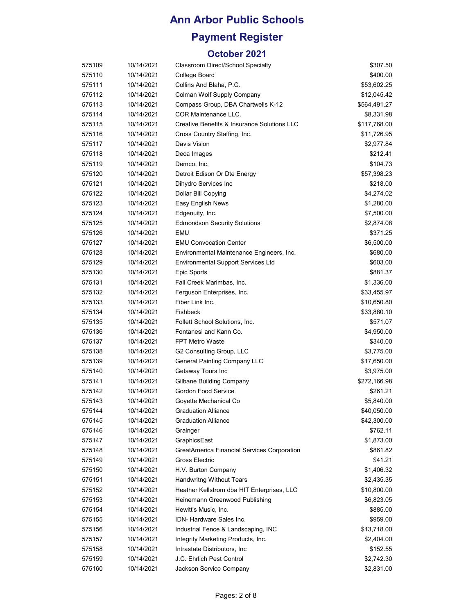## **Payment Register**

| 575109 | 10/14/2021 | Classroom Direct/School Specialty           | \$307.50     |
|--------|------------|---------------------------------------------|--------------|
| 575110 | 10/14/2021 | College Board                               | \$400.00     |
| 575111 | 10/14/2021 | Collins And Blaha, P.C.                     | \$53,602.25  |
| 575112 | 10/14/2021 | Colman Wolf Supply Company                  | \$12,045.42  |
| 575113 | 10/14/2021 | Compass Group, DBA Chartwells K-12          | \$564,491.27 |
| 575114 | 10/14/2021 | <b>COR Maintenance LLC.</b>                 | \$8,331.98   |
| 575115 | 10/14/2021 | Creative Benefits & Insurance Solutions LLC | \$117,768.00 |
| 575116 | 10/14/2021 | Cross Country Staffing, Inc.                | \$11,726.95  |
| 575117 | 10/14/2021 | Davis Vision                                | \$2,977.84   |
| 575118 | 10/14/2021 | Deca Images                                 | \$212.41     |
| 575119 | 10/14/2021 | Demco, Inc.                                 | \$104.73     |
| 575120 | 10/14/2021 | Detroit Edison Or Dte Energy                | \$57,398.23  |
| 575121 | 10/14/2021 | Dihydro Services Inc                        | \$218.00     |
| 575122 | 10/14/2021 | Dollar Bill Copying                         | \$4,274.02   |
| 575123 | 10/14/2021 | Easy English News                           | \$1,280.00   |
| 575124 | 10/14/2021 | Edgenuity, Inc.                             | \$7,500.00   |
| 575125 | 10/14/2021 | <b>Edmondson Security Solutions</b>         | \$2,874.08   |
| 575126 | 10/14/2021 | <b>EMU</b>                                  | \$371.25     |
| 575127 | 10/14/2021 | <b>EMU Convocation Center</b>               | \$6,500.00   |
| 575128 | 10/14/2021 | Environmental Maintenance Engineers, Inc.   | \$680.00     |
| 575129 | 10/14/2021 | <b>Environmental Support Services Ltd</b>   | \$603.00     |
| 575130 | 10/14/2021 | Epic Sports                                 | \$881.37     |
| 575131 | 10/14/2021 | Fall Creek Marimbas, Inc.                   | \$1,336.00   |
| 575132 | 10/14/2021 | Ferguson Enterprises, Inc.                  | \$33,455.97  |
| 575133 | 10/14/2021 | Fiber Link Inc.                             | \$10,650.80  |
| 575134 | 10/14/2021 | Fishbeck                                    | \$33,880.10  |
| 575135 | 10/14/2021 | Follett School Solutions, Inc.              | \$571.07     |
| 575136 | 10/14/2021 | Fontanesi and Kann Co.                      | \$4,950.00   |
| 575137 | 10/14/2021 | <b>FPT Metro Waste</b>                      | \$340.00     |
| 575138 | 10/14/2021 | G2 Consulting Group, LLC                    | \$3,775.00   |
| 575139 | 10/14/2021 | <b>General Painting Company LLC</b>         | \$17,650.00  |
| 575140 | 10/14/2021 | Getaway Tours Inc                           | \$3,975.00   |
| 575141 | 10/14/2021 | Gilbane Building Company                    | \$272,166.98 |
| 575142 | 10/14/2021 | Gordon Food Service                         | \$261.21     |
| 575143 | 10/14/2021 | Goyette Mechanical Co                       | \$5,840.00   |
| 575144 | 10/14/2021 | <b>Graduation Alliance</b>                  | \$40,050.00  |
| 575145 | 10/14/2021 | <b>Graduation Alliance</b>                  | \$42,300.00  |
| 575146 | 10/14/2021 | Grainger                                    | \$762.11     |
| 575147 | 10/14/2021 | GraphicsEast                                | \$1,873.00   |
| 575148 | 10/14/2021 | GreatAmerica Financial Services Corporation | \$861.82     |
| 575149 | 10/14/2021 | Gross Electric                              | \$41.21      |
| 575150 | 10/14/2021 | H.V. Burton Company                         | \$1,406.32   |
| 575151 | 10/14/2021 | Handwritng Without Tears                    | \$2,435.35   |
| 575152 | 10/14/2021 | Heather Kellstrom dba HIT Enterprises, LLC  | \$10,800.00  |
| 575153 | 10/14/2021 | Heinemann Greenwood Publishing              | \$6,823.05   |
| 575154 | 10/14/2021 | Hewitt's Music, Inc.                        | \$885.00     |
| 575155 | 10/14/2021 | IDN- Hardware Sales Inc.                    | \$959.00     |
| 575156 | 10/14/2021 | Industrial Fence & Landscaping, INC         | \$13,718.00  |
| 575157 | 10/14/2021 | Integrity Marketing Products, Inc.          | \$2,404.00   |
| 575158 | 10/14/2021 | Intrastate Distributors, Inc.               | \$152.55     |
| 575159 | 10/14/2021 | J.C. Ehrlich Pest Control                   | \$2,742.30   |
| 575160 | 10/14/2021 | Jackson Service Company                     | \$2,831.00   |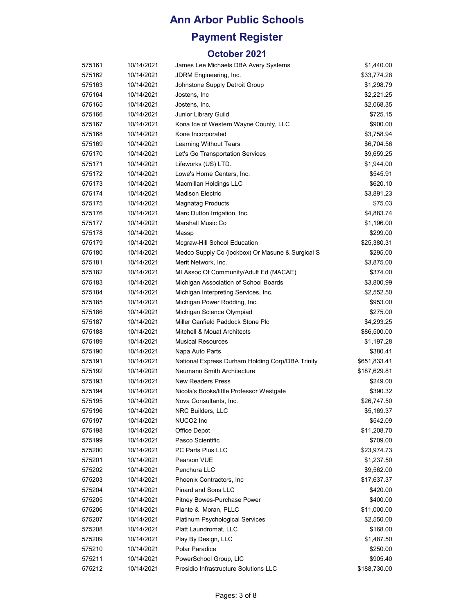## **Payment Register**

| 575161 | 10/14/2021 | James Lee Michaels DBA Avery Systems             | \$1,440.00   |
|--------|------------|--------------------------------------------------|--------------|
| 575162 | 10/14/2021 | JDRM Engineering, Inc.                           | \$33,774.28  |
| 575163 | 10/14/2021 | Johnstone Supply Detroit Group                   | \$1,298.79   |
| 575164 | 10/14/2021 | Jostens, Inc                                     | \$2,221.25   |
| 575165 | 10/14/2021 | Jostens, Inc.                                    | \$2,068.35   |
| 575166 | 10/14/2021 | Junior Library Guild                             | \$725.15     |
| 575167 | 10/14/2021 | Kona Ice of Western Wayne County, LLC            | \$900.00     |
| 575168 | 10/14/2021 | Kone Incorporated                                | \$3,758.94   |
| 575169 | 10/14/2021 | <b>Learning Without Tears</b>                    | \$6,704.56   |
| 575170 | 10/14/2021 | Let's Go Transportation Services                 | \$9,659.25   |
| 575171 | 10/14/2021 | Lifeworks (US) LTD.                              | \$1,944.00   |
| 575172 | 10/14/2021 | Lowe's Home Centers, Inc.                        | \$545.91     |
| 575173 | 10/14/2021 | Macmillan Holdings LLC                           | \$620.10     |
| 575174 | 10/14/2021 | <b>Madison Electric</b>                          | \$3,891.23   |
| 575175 | 10/14/2021 | <b>Magnatag Products</b>                         | \$75.03      |
| 575176 | 10/14/2021 | Marc Dutton Irrigation, Inc.                     | \$4,883.74   |
| 575177 | 10/14/2021 | Marshall Music Co                                | \$1,196.00   |
| 575178 | 10/14/2021 | Massp                                            | \$299.00     |
| 575179 | 10/14/2021 | Mcgraw-Hill School Education                     | \$25,380.31  |
| 575180 | 10/14/2021 | Medco Supply Co (lockbox) Or Masune & Surgical S | \$295.00     |
| 575181 | 10/14/2021 | Merit Network, Inc.                              | \$3,875.00   |
| 575182 | 10/14/2021 | MI Assoc Of Community/Adult Ed (MACAE)           | \$374.00     |
| 575183 | 10/14/2021 | Michigan Association of School Boards            | \$3,800.99   |
| 575184 | 10/14/2021 | Michigan Interpreting Services, Inc.             | \$2,552.50   |
| 575185 | 10/14/2021 | Michigan Power Rodding, Inc.                     | \$953.00     |
| 575186 | 10/14/2021 | Michigan Science Olympiad                        | \$275.00     |
| 575187 | 10/14/2021 | Miller Canfield Paddock Stone Plc                | \$4,293.25   |
| 575188 | 10/14/2021 | Mitchell & Mouat Architects                      | \$86,500.00  |
| 575189 | 10/14/2021 | <b>Musical Resources</b>                         | \$1,197.28   |
| 575190 | 10/14/2021 | Napa Auto Parts                                  | \$380.41     |
| 575191 | 10/14/2021 | National Express Durham Holding Corp/DBA Trinity | \$651,833.41 |
| 575192 | 10/14/2021 | Neumann Smith Architecture                       | \$187,629.81 |
| 575193 | 10/14/2021 | <b>New Readers Press</b>                         | \$249.00     |
| 575194 | 10/14/2021 | Nicola's Books/little Professor Westgate         | \$390.32     |
| 575195 | 10/14/2021 | Nova Consultants, Inc.                           | \$26,747.50  |
| 575196 | 10/14/2021 | NRC Builders, LLC                                | \$5,169.37   |
| 575197 | 10/14/2021 | NUCO <sub>2</sub> Inc                            | \$542.09     |
| 575198 | 10/14/2021 | Office Depot                                     | \$11,208.70  |
| 575199 | 10/14/2021 | Pasco Scientific                                 | \$709.00     |
| 575200 | 10/14/2021 | PC Parts Plus LLC                                | \$23,974.73  |
| 575201 | 10/14/2021 | Pearson VUE                                      | \$1,237.50   |
| 575202 | 10/14/2021 | Penchura LLC                                     | \$9,562.00   |
| 575203 | 10/14/2021 | Phoenix Contractors, Inc.                        | \$17,637.37  |
| 575204 | 10/14/2021 | Pinard and Sons LLC                              | \$420.00     |
| 575205 | 10/14/2021 | Pitney Bowes-Purchase Power                      | \$400.00     |
| 575206 | 10/14/2021 | Plante & Moran, PLLC                             | \$11,000.00  |
| 575207 | 10/14/2021 | Platinum Psychological Services                  | \$2,550.00   |
| 575208 | 10/14/2021 | Platt Laundromat, LLC                            | \$168.00     |
| 575209 | 10/14/2021 | Play By Design, LLC                              | \$1,487.50   |
| 575210 | 10/14/2021 | Polar Paradice                                   | \$250.00     |
| 575211 | 10/14/2021 | PowerSchool Group, LIC                           | \$905.40     |
| 575212 | 10/14/2021 | Presidio Infrastructure Solutions LLC            | \$188,730.00 |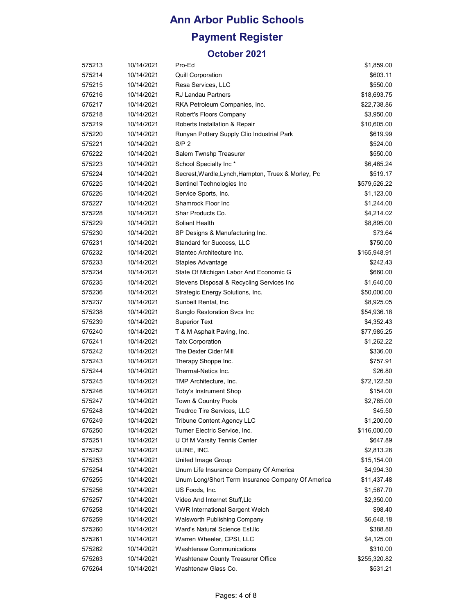# **Ann Arbor Public Schools Payment Register**

| 575213 | 10/14/2021 | Pro-Ed                                              | \$1,859.00   |
|--------|------------|-----------------------------------------------------|--------------|
| 575214 | 10/14/2021 | <b>Quill Corporation</b>                            | \$603.11     |
| 575215 | 10/14/2021 | Resa Services, LLC                                  | \$550.00     |
| 575216 | 10/14/2021 | <b>RJ Landau Partners</b>                           | \$18,693.75  |
| 575217 | 10/14/2021 | RKA Petroleum Companies, Inc.                       | \$22,738.86  |
| 575218 | 10/14/2021 | Robert's Floors Company                             | \$3,950.00   |
| 575219 | 10/14/2021 | Roberts Installation & Repair                       | \$10,605.00  |
| 575220 | 10/14/2021 | Runyan Pottery Supply Clio Industrial Park          | \$619.99     |
| 575221 | 10/14/2021 | S/P <sub>2</sub>                                    | \$524.00     |
| 575222 | 10/14/2021 | Salem Twnshp Treasurer                              | \$550.00     |
| 575223 | 10/14/2021 | School Specialty Inc*                               | \$6,465.24   |
| 575224 | 10/14/2021 | Secrest, Wardle, Lynch, Hampton, Truex & Morley, Pc | \$519.17     |
| 575225 | 10/14/2021 | Sentinel Technologies Inc                           | \$579,526.22 |
| 575226 | 10/14/2021 | Service Sports, Inc.                                | \$1,123.00   |
| 575227 | 10/14/2021 | Shamrock Floor Inc                                  | \$1,244.00   |
| 575228 | 10/14/2021 | Shar Products Co.                                   | \$4,214.02   |
| 575229 | 10/14/2021 | Soliant Health                                      | \$8,895.00   |
| 575230 | 10/14/2021 | SP Designs & Manufacturing Inc.                     | \$73.64      |
| 575231 | 10/14/2021 | Standard for Success, LLC                           | \$750.00     |
| 575232 | 10/14/2021 | Stantec Architecture Inc.                           | \$165,948.91 |
| 575233 | 10/14/2021 | Staples Advantage                                   | \$242.43     |
| 575234 | 10/14/2021 | State Of Michigan Labor And Economic G              | \$660.00     |
| 575235 | 10/14/2021 | Stevens Disposal & Recycling Services Inc           | \$1,640.00   |
| 575236 | 10/14/2021 | Strategic Energy Solutions, Inc.                    | \$50,000.00  |
| 575237 | 10/14/2021 | Sunbelt Rental, Inc.                                | \$8,925.05   |
| 575238 | 10/14/2021 | Sunglo Restoration Svcs Inc                         | \$54,936.18  |
| 575239 | 10/14/2021 | <b>Superior Text</b>                                | \$4,352.43   |
| 575240 | 10/14/2021 | T & M Asphalt Paving, Inc.                          | \$77,985.25  |
| 575241 | 10/14/2021 | <b>Talx Corporation</b>                             | \$1,262.22   |
| 575242 | 10/14/2021 | The Dexter Cider Mill                               | \$336.00     |
| 575243 | 10/14/2021 | Therapy Shoppe Inc.                                 | \$757.91     |
| 575244 | 10/14/2021 | Thermal-Netics Inc.                                 | \$26.80      |
| 575245 | 10/14/2021 | TMP Architecture, Inc.                              | \$72,122.50  |
| 575246 | 10/14/2021 | Toby's Instrument Shop                              | \$154.00     |
| 575247 | 10/14/2021 | Town & Country Pools                                | \$2,765.00   |
| 575248 | 10/14/2021 | Tredroc Tire Services, LLC                          | \$45.50      |
| 575249 | 10/14/2021 | <b>Tribune Content Agency LLC</b>                   | \$1,200.00   |
| 575250 | 10/14/2021 | Turner Electric Service, Inc.                       | \$116,000.00 |
| 575251 | 10/14/2021 | U Of M Varsity Tennis Center                        | \$647.89     |
| 575252 | 10/14/2021 | ULINE, INC.                                         | \$2,813.28   |
| 575253 | 10/14/2021 | United Image Group                                  | \$15,154.00  |
| 575254 | 10/14/2021 | Unum Life Insurance Company Of America              | \$4,994.30   |
| 575255 | 10/14/2021 | Unum Long/Short Term Insurance Company Of America   | \$11,437.48  |
| 575256 | 10/14/2021 | US Foods, Inc.                                      | \$1,567.70   |
| 575257 | 10/14/2021 | Video And Internet Stuff, Llc                       | \$2,350.00   |
| 575258 | 10/14/2021 | <b>VWR International Sargent Welch</b>              | \$98.40      |
| 575259 | 10/14/2021 | Walsworth Publishing Company                        | \$6,648.18   |
| 575260 | 10/14/2021 | Ward's Natural Science Est.llc                      | \$388.80     |
| 575261 | 10/14/2021 | Warren Wheeler, CPSI, LLC                           | \$4,125.00   |
| 575262 | 10/14/2021 | <b>Washtenaw Communications</b>                     | \$310.00     |
| 575263 | 10/14/2021 | Washtenaw County Treasurer Office                   | \$255,320.82 |
| 575264 | 10/14/2021 | Washtenaw Glass Co.                                 | \$531.21     |
|        |            |                                                     |              |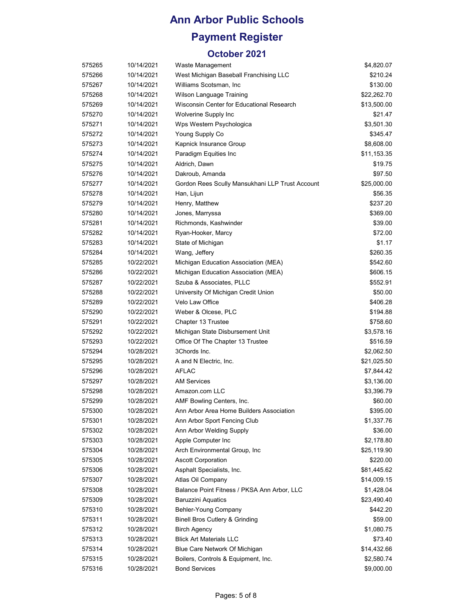## **Payment Register**

| 575265 | 10/14/2021 | Waste Management                                | \$4,820.07  |
|--------|------------|-------------------------------------------------|-------------|
| 575266 | 10/14/2021 | West Michigan Baseball Franchising LLC          | \$210.24    |
| 575267 | 10/14/2021 | Williams Scotsman, Inc.                         | \$130.00    |
| 575268 | 10/14/2021 | Wilson Language Training                        | \$22,262.70 |
| 575269 | 10/14/2021 | Wisconsin Center for Educational Research       | \$13,500.00 |
| 575270 | 10/14/2021 | Wolverine Supply Inc                            | \$21.47     |
| 575271 | 10/14/2021 | Wps Western Psychologica                        | \$3,501.30  |
| 575272 | 10/14/2021 | Young Supply Co                                 | \$345.47    |
| 575273 | 10/14/2021 | Kapnick Insurance Group                         | \$8,608.00  |
| 575274 | 10/14/2021 | Paradigm Equities Inc                           | \$11,153.35 |
| 575275 | 10/14/2021 | Aldrich, Dawn                                   | \$19.75     |
| 575276 | 10/14/2021 | Dakroub, Amanda                                 | \$97.50     |
| 575277 | 10/14/2021 | Gordon Rees Scully Mansukhani LLP Trust Account | \$25,000.00 |
| 575278 | 10/14/2021 | Han, Lijun                                      | \$56.35     |
| 575279 | 10/14/2021 | Henry, Matthew                                  | \$237.20    |
| 575280 | 10/14/2021 | Jones, Marryssa                                 | \$369.00    |
| 575281 | 10/14/2021 | Richmonds, Kashwinder                           | \$39.00     |
| 575282 | 10/14/2021 | Ryan-Hooker, Marcy                              | \$72.00     |
| 575283 | 10/14/2021 | State of Michigan                               | \$1.17      |
| 575284 | 10/14/2021 | Wang, Jeffery                                   | \$260.35    |
| 575285 | 10/22/2021 | Michigan Education Association (MEA)            | \$542.60    |
| 575286 | 10/22/2021 | Michigan Education Association (MEA)            | \$606.15    |
| 575287 | 10/22/2021 | Szuba & Associates, PLLC                        | \$552.91    |
| 575288 | 10/22/2021 | University Of Michigan Credit Union             | \$50.00     |
| 575289 | 10/22/2021 | Velo Law Office                                 | \$406.28    |
| 575290 | 10/22/2021 | Weber & Olcese, PLC                             | \$194.88    |
| 575291 | 10/22/2021 | Chapter 13 Trustee                              | \$758.60    |
| 575292 | 10/22/2021 | Michigan State Disbursement Unit                | \$3,578.16  |
| 575293 | 10/22/2021 | Office Of The Chapter 13 Trustee                | \$516.59    |
| 575294 | 10/28/2021 | 3Chords Inc.                                    | \$2,062.50  |
| 575295 | 10/28/2021 | A and N Electric, Inc.                          | \$21,025.50 |
| 575296 | 10/28/2021 | <b>AFLAC</b>                                    | \$7,844.42  |
| 575297 | 10/28/2021 | <b>AM Services</b>                              | \$3,136.00  |
| 575298 | 10/28/2021 | Amazon.com LLC                                  | \$3,396.79  |
| 575299 | 10/28/2021 | AMF Bowling Centers, Inc.                       | \$60.00     |
| 575300 | 10/28/2021 | Ann Arbor Area Home Builders Association        | \$395.00    |
| 575301 | 10/28/2021 | Ann Arbor Sport Fencing Club                    | \$1,337.76  |
| 575302 | 10/28/2021 | Ann Arbor Welding Supply                        | \$36.00     |
| 575303 | 10/28/2021 | Apple Computer Inc                              | \$2,178.80  |
| 575304 | 10/28/2021 | Arch Environmental Group, Inc.                  | \$25,119.90 |
| 575305 | 10/28/2021 | <b>Ascott Corporation</b>                       | \$220.00    |
| 575306 | 10/28/2021 | Asphalt Specialists, Inc.                       | \$81,445.62 |
| 575307 | 10/28/2021 | Atlas Oil Company                               | \$14,009.15 |
| 575308 | 10/28/2021 | Balance Point Fitness / PKSA Ann Arbor, LLC     | \$1,428.04  |
| 575309 | 10/28/2021 | <b>Baruzzini Aquatics</b>                       | \$23,490.40 |
| 575310 | 10/28/2021 | Behler-Young Company                            | \$442.20    |
| 575311 | 10/28/2021 | <b>Binell Bros Cutlery &amp; Grinding</b>       | \$59.00     |
| 575312 | 10/28/2021 | <b>Birch Agency</b>                             | \$1,080.75  |
| 575313 | 10/28/2021 | <b>Blick Art Materials LLC</b>                  | \$73.40     |
| 575314 | 10/28/2021 | Blue Care Network Of Michigan                   | \$14,432.66 |
| 575315 | 10/28/2021 | Boilers, Controls & Equipment, Inc.             | \$2,580.74  |
| 575316 | 10/28/2021 | <b>Bond Services</b>                            | \$9,000.00  |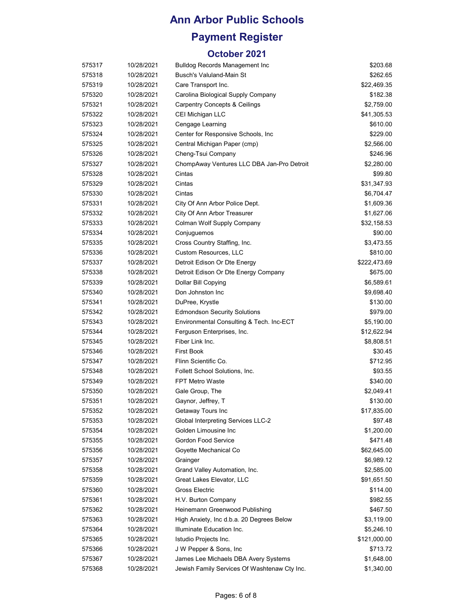## **Payment Register**

| 575317 | 10/28/2021 | <b>Bulldog Records Management Inc.</b>       | \$203.68     |
|--------|------------|----------------------------------------------|--------------|
| 575318 | 10/28/2021 | Busch's Valuland-Main St                     | \$262.65     |
| 575319 | 10/28/2021 | Care Transport Inc.                          | \$22,469.35  |
| 575320 | 10/28/2021 | Carolina Biological Supply Company           | \$182.38     |
| 575321 | 10/28/2021 | <b>Carpentry Concepts &amp; Ceilings</b>     | \$2,759.00   |
| 575322 | 10/28/2021 | CEI Michigan LLC                             | \$41,305.53  |
| 575323 | 10/28/2021 | Cengage Learning                             | \$610.00     |
| 575324 | 10/28/2021 | Center for Responsive Schools, Inc.          | \$229.00     |
| 575325 | 10/28/2021 | Central Michigan Paper (cmp)                 | \$2,566.00   |
| 575326 | 10/28/2021 | Cheng-Tsui Company                           | \$246.96     |
| 575327 | 10/28/2021 | ChompAway Ventures LLC DBA Jan-Pro Detroit   | \$2,280.00   |
| 575328 | 10/28/2021 | Cintas                                       | \$99.80      |
| 575329 | 10/28/2021 | Cintas                                       | \$31,347.93  |
| 575330 | 10/28/2021 | Cintas                                       | \$6,704.47   |
| 575331 | 10/28/2021 | City Of Ann Arbor Police Dept.               | \$1,609.36   |
| 575332 | 10/28/2021 | City Of Ann Arbor Treasurer                  | \$1,627.06   |
| 575333 | 10/28/2021 | Colman Wolf Supply Company                   | \$32,158.53  |
| 575334 | 10/28/2021 | Conjuguemos                                  | \$90.00      |
| 575335 | 10/28/2021 | Cross Country Staffing, Inc.                 | \$3,473.55   |
| 575336 | 10/28/2021 | Custom Resources, LLC                        | \$810.00     |
| 575337 | 10/28/2021 | Detroit Edison Or Dte Energy                 | \$222,473.69 |
| 575338 | 10/28/2021 | Detroit Edison Or Dte Energy Company         | \$675.00     |
| 575339 | 10/28/2021 | Dollar Bill Copying                          | \$6,589.61   |
| 575340 | 10/28/2021 | Don Johnston Inc                             | \$9,698.40   |
| 575341 | 10/28/2021 | DuPree, Krystle                              | \$130.00     |
| 575342 | 10/28/2021 | <b>Edmondson Security Solutions</b>          | \$979.00     |
| 575343 | 10/28/2021 | Environmental Consulting & Tech. Inc-ECT     | \$5,190.00   |
| 575344 | 10/28/2021 | Ferguson Enterprises, Inc.                   | \$12,622.94  |
| 575345 | 10/28/2021 | Fiber Link Inc.                              | \$8,808.51   |
| 575346 | 10/28/2021 | <b>First Book</b>                            | \$30.45      |
| 575347 | 10/28/2021 | Flinn Scientific Co.                         | \$712.95     |
| 575348 | 10/28/2021 | Follett School Solutions, Inc.               | \$93.55      |
| 575349 | 10/28/2021 | <b>FPT Metro Waste</b>                       | \$340.00     |
| 575350 | 10/28/2021 | Gale Group, The                              | \$2,049.41   |
| 575351 | 10/28/2021 | Gaynor, Jeffrey, T                           | \$130.00     |
| 575352 | 10/28/2021 | Getaway Tours Inc                            | \$17,835.00  |
| 575353 | 10/28/2021 | Global Interpreting Services LLC-2           | \$97.48      |
| 575354 | 10/28/2021 | Golden Limousine Inc                         | \$1,200.00   |
| 575355 | 10/28/2021 | Gordon Food Service                          | \$471.48     |
| 575356 | 10/28/2021 | Goyette Mechanical Co                        | \$62,645.00  |
| 575357 | 10/28/2021 | Grainger                                     | \$6,989.12   |
| 575358 | 10/28/2021 | Grand Valley Automation, Inc.                | \$2,585.00   |
| 575359 | 10/28/2021 | Great Lakes Elevator, LLC                    | \$91,651.50  |
| 575360 | 10/28/2021 | Gross Electric                               | \$114.00     |
| 575361 | 10/28/2021 | H.V. Burton Company                          | \$982.55     |
| 575362 | 10/28/2021 | Heinemann Greenwood Publishing               | \$467.50     |
| 575363 | 10/28/2021 | High Anxiety, Inc d.b.a. 20 Degrees Below    | \$3,119.00   |
| 575364 | 10/28/2021 | Illuminate Education Inc.                    | \$5,246.10   |
| 575365 | 10/28/2021 | Istudio Projects Inc.                        | \$121,000.00 |
| 575366 | 10/28/2021 | J W Pepper & Sons, Inc                       | \$713.72     |
| 575367 | 10/28/2021 | James Lee Michaels DBA Avery Systems         | \$1,648.00   |
| 575368 | 10/28/2021 | Jewish Family Services Of Washtenaw Cty Inc. | \$1,340.00   |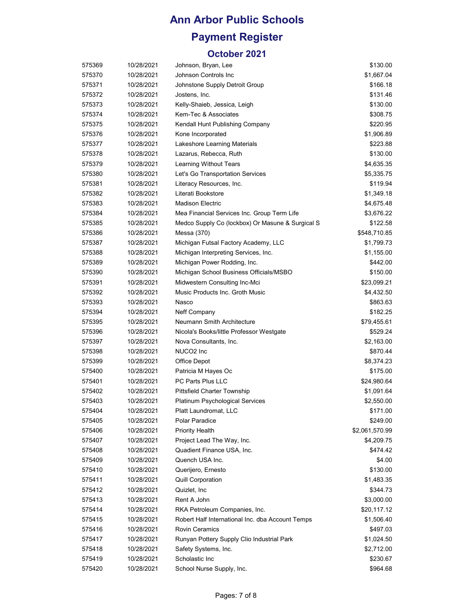# **Payment Register**

| 575369 | 10/28/2021 | Johnson, Bryan, Lee                              | \$130.00       |
|--------|------------|--------------------------------------------------|----------------|
| 575370 | 10/28/2021 | Johnson Controls Inc                             | \$1,667.04     |
| 575371 | 10/28/2021 | Johnstone Supply Detroit Group                   | \$166.18       |
| 575372 | 10/28/2021 | Jostens, Inc.                                    | \$131.46       |
| 575373 | 10/28/2021 | Kelly-Shaieb, Jessica, Leigh                     | \$130.00       |
| 575374 | 10/28/2021 | Kem-Tec & Associates                             | \$308.75       |
| 575375 | 10/28/2021 | Kendall Hunt Publishing Company                  | \$220.95       |
| 575376 | 10/28/2021 | Kone Incorporated                                | \$1,906.89     |
| 575377 | 10/28/2021 | Lakeshore Learning Materials                     | \$223.88       |
| 575378 | 10/28/2021 | Lazarus, Rebecca, Ruth                           | \$130.00       |
| 575379 | 10/28/2021 | Learning Without Tears                           | \$4,635.35     |
| 575380 | 10/28/2021 | Let's Go Transportation Services                 | \$5,335.75     |
| 575381 | 10/28/2021 | Literacy Resources, Inc.                         | \$119.94       |
| 575382 | 10/28/2021 | Literati Bookstore                               | \$1,349.18     |
| 575383 | 10/28/2021 | <b>Madison Electric</b>                          | \$4,675.48     |
| 575384 | 10/28/2021 | Mea Financial Services Inc. Group Term Life      | \$3,676.22     |
| 575385 | 10/28/2021 | Medco Supply Co (lockbox) Or Masune & Surgical S | \$122.58       |
| 575386 | 10/28/2021 | Messa (370)                                      | \$548,710.85   |
| 575387 | 10/28/2021 | Michigan Futsal Factory Academy, LLC             | \$1,799.73     |
| 575388 | 10/28/2021 | Michigan Interpreting Services, Inc.             | \$1,155.00     |
| 575389 | 10/28/2021 | Michigan Power Rodding, Inc.                     | \$442.00       |
| 575390 | 10/28/2021 | Michigan School Business Officials/MSBO          | \$150.00       |
| 575391 | 10/28/2021 | Midwestern Consulting Inc-Mci                    | \$23,099.21    |
| 575392 | 10/28/2021 | Music Products Inc. Groth Music                  | \$4,432.50     |
| 575393 | 10/28/2021 | Nasco                                            | \$863.63       |
| 575394 | 10/28/2021 | Neff Company                                     | \$182.25       |
| 575395 | 10/28/2021 | Neumann Smith Architecture                       | \$79,455.61    |
| 575396 | 10/28/2021 | Nicola's Books/little Professor Westgate         | \$529.24       |
| 575397 | 10/28/2021 | Nova Consultants, Inc.                           | \$2,163.00     |
| 575398 | 10/28/2021 | NUCO <sub>2</sub> Inc                            | \$870.44       |
| 575399 | 10/28/2021 | Office Depot                                     | \$8,374.23     |
| 575400 | 10/28/2021 | Patricia M Hayes Oc                              | \$175.00       |
| 575401 | 10/28/2021 | PC Parts Plus LLC                                | \$24,980.64    |
| 575402 | 10/28/2021 | <b>Pittsfield Charter Township</b>               | \$1,091.64     |
| 575403 | 10/28/2021 | <b>Platinum Psychological Services</b>           | \$2,550.00     |
| 575404 | 10/28/2021 | Platt Laundromat, LLC                            | \$171.00       |
| 575405 | 10/28/2021 | Polar Paradice                                   | \$249.00       |
| 575406 | 10/28/2021 | <b>Priority Health</b>                           | \$2,061,570.99 |
| 575407 | 10/28/2021 | Project Lead The Way, Inc.                       | \$4,209.75     |
| 575408 | 10/28/2021 | Quadient Finance USA, Inc.                       | \$474.42       |
| 575409 | 10/28/2021 | Quench USA Inc.                                  | \$4.00         |
| 575410 | 10/28/2021 | Querijero, Ernesto                               | \$130.00       |
| 575411 | 10/28/2021 | Quill Corporation                                | \$1,483.35     |
| 575412 | 10/28/2021 | Quizlet, Inc.                                    | \$344.73       |
| 575413 | 10/28/2021 | Rent A John                                      | \$3,000.00     |
| 575414 | 10/28/2021 | RKA Petroleum Companies, Inc.                    | \$20,117.12    |
| 575415 | 10/28/2021 | Robert Half International Inc. dba Account Temps | \$1,506.40     |
| 575416 | 10/28/2021 | <b>Rovin Ceramics</b>                            | \$497.03       |
| 575417 | 10/28/2021 | Runyan Pottery Supply Clio Industrial Park       | \$1,024.50     |
| 575418 | 10/28/2021 | Safety Systems, Inc.                             | \$2,712.00     |
| 575419 | 10/28/2021 | Scholastic Inc                                   | \$230.67       |
| 575420 | 10/28/2021 | School Nurse Supply, Inc.                        | \$964.68       |